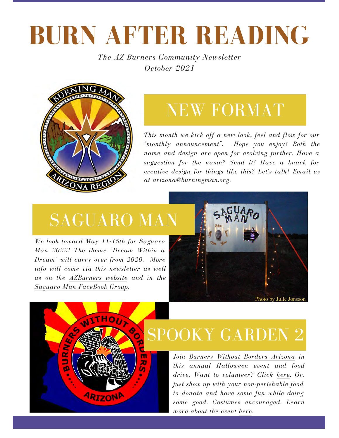# **BURN AFTER READING**

*The AZ Burners Community Newsletter October 2021*



## NEW FORMAT

*This month we kick off a new look, feel and flow for our "monthly announcement". Hope you enjoy! Both the [nam](https://azburners.org/)e and design are open for evolving further. Have a suggestion for the name? Send it! Have a knack for creative design for things like this? Let's talk! Email us at arizona@burningman.org.* 

## SAGUARO MAN

WITHOUT SO

ARIZONA

m<br>20

6  $\mathscr{L}$ 

URN

*We look toward May 11-15th for Saguaro Man 2022! The theme "Dream Within a Dream" will carry over from 2020. More info will come via this newsletter as well as on the [AZBurners](https://azburners.org/saguaro-man/) website and in the Saguaro Man [FaceBook](https://www.facebook.com/groups/228225554040038) Group.* 



## [SPO](https://azbwb.org/)OKY GARDEN 2

*Join Burners Without Borders [Arizona](https://azbwb.org/) in this annual Halloween event and food drive. Want to volunteer? Click [here](https://www.signupgenius.com/go/10c0f4da9a92da4f4c34-spooky). Or, just show up with your non-perishable food to donate and have some fun while doing some good. Costumes encouraged. Learn more about the event [here](https://fb.me/e/45IgZSyzE).*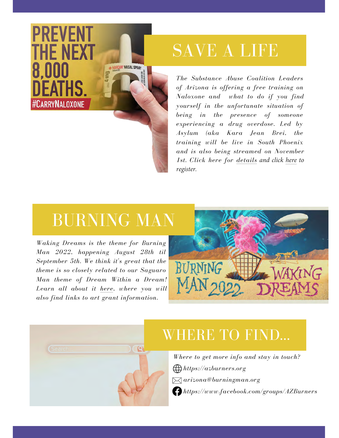## SAVE A LIFE

*The Substance Abuse Coalition Leaders of Arizona is offering a free training on Naloxone and what to do if you find yourself in the unfortunate situation of being in the presence of someone experiencing a drug overdose. Led by Asylum (aka Kara Jean Brei, the training will be live in South Phoenix and is also being streamed on November 1st. Click here for [details](https://fb.me/e/1Bc4R1XC2) and click [here](https://sbhservices-org.zoom.us/meeting/register/tZwtd-ioqD8iGN0CZryBcsMUSQVxhXJAmcQV?_x_zm_rtaid=YaKi000ERNiL5HkM0oOaZw.1635181173563.b831ff084711a9003295d3bbfeb8ec3c&_x_zm_rhtaid=899) to register.*

### BURNING MA[N](https://journal.burningman.org/2021/10/burning-man-arts/brc-art/burning-man-2022-waking-dreams/)

*Waking Dreams is the theme for Burning Man 2022, happening August 28th til September 5th. We think it's great that the theme is so closely related to our Saguaro Man theme of Dream Within a Dream! Learn all about it [here](https://journal.burningman.org/2021/10/burning-man-arts/brc-art/burning-man-2022-waking-dreams/), where you will also find links to art grant information.*

**PREVENT** 

THE NEXT

8.000

**#CARRYNALOXONE** 





#### WHERE TO FIND...

*Where to get more info and stay in touch? <https://azburners.org> arizona@burningman.org <https://www.facebook.com/groups/AZBurners>*